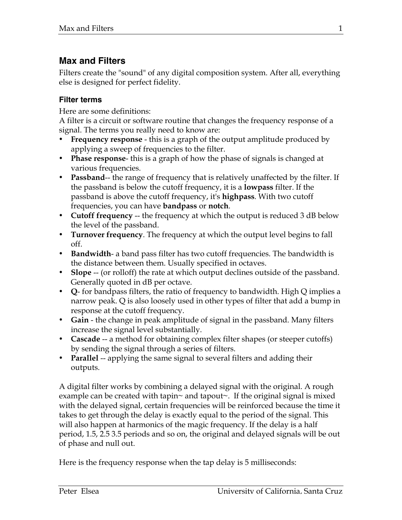# **Max and Filters**

Filters create the "sound" of any digital composition system. After all, everything else is designed for perfect fidelity.

### **Filter terms**

Here are some definitions:

A filter is a circuit or software routine that changes the frequency response of a signal. The terms you really need to know are:

- **Frequency response** this is a graph of the output amplitude produced by applying a sweep of frequencies to the filter.
- **Phase response** this is a graph of how the phase of signals is changed at various frequencies.
- **Passband**-- the range of frequency that is relatively unaffected by the filter. If the passband is below the cutoff frequency, it is a **lowpass** filter. If the passband is above the cutoff frequency, it's **highpass**. With two cutoff frequencies, you can have **bandpass** or **notch**.
- **Cutoff frequency** -- the frequency at which the output is reduced 3 dB below the level of the passband.
- **Turnover frequency**. The frequency at which the output level begins to fall off.
- **Bandwidth** a band pass filter has two cutoff frequencies. The bandwidth is the distance between them. Usually specified in octaves.
- **Slope** -- (or rolloff) the rate at which output declines outside of the passband. Generally quoted in dB per octave.
- **Q** for bandpass filters, the ratio of frequency to bandwidth. High Q implies a narrow peak. Q is also loosely used in other types of filter that add a bump in response at the cutoff frequency.
- **Gain** the change in peak amplitude of signal in the passband. Many filters increase the signal level substantially.
- **Cascade** -- a method for obtaining complex filter shapes (or steeper cutoffs) by sending the signal through a series of filters.
- **Parallel** -- applying the same signal to several filters and adding their outputs.

A digital filter works by combining a delayed signal with the original. A rough example can be created with tapin~ and tapout~. If the original signal is mixed with the delayed signal, certain frequencies will be reinforced because the time it takes to get through the delay is exactly equal to the period of the signal. This will also happen at harmonics of the magic frequency. If the delay is a half period, 1.5, 2.5 3.5 periods and so on, the original and delayed signals will be out of phase and null out.

Here is the frequency response when the tap delay is 5 milliseconds: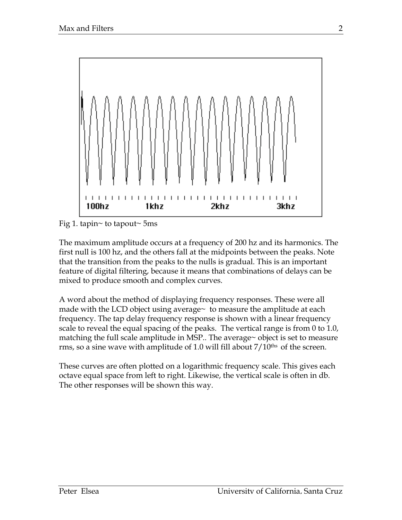

Fig 1. tapin~ to tapout~ 5ms

The maximum amplitude occurs at a frequency of 200 hz and its harmonics. The first null is 100 hz, and the others fall at the midpoints between the peaks. Note that the transition from the peaks to the nulls is gradual. This is an important feature of digital filtering, because it means that combinations of delays can be mixed to produce smooth and complex curves.

A word about the method of displaying frequency responses. These were all made with the LCD object using average $\sim$  to measure the amplitude at each frequency. The tap delay frequency response is shown with a linear frequency scale to reveal the equal spacing of the peaks. The vertical range is from 0 to 1.0, matching the full scale amplitude in MSP.. The average~ object is set to measure rms, so a sine wave with amplitude of 1.0 will fill about  $7/10^{ths}$  of the screen.

These curves are often plotted on a logarithmic frequency scale. This gives each octave equal space from left to right. Likewise, the vertical scale is often in db. The other responses will be shown this way.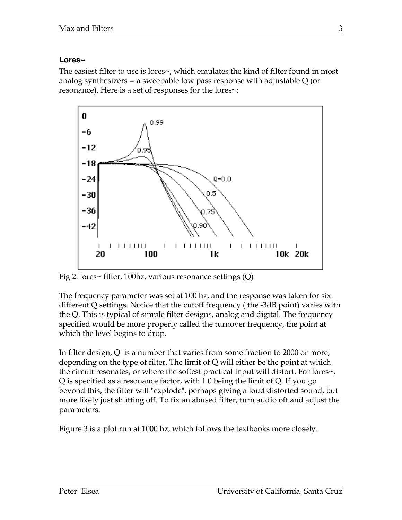#### **Lores~**

The easiest filter to use is lores~, which emulates the kind of filter found in most analog synthesizers -- a sweepable low pass response with adjustable Q (or resonance). Here is a set of responses for the lores~:



Fig 2. lores~ filter, 100 hz, various resonance settings  $(Q)$ 

The frequency parameter was set at 100 hz, and the response was taken for six different Q settings. Notice that the cutoff frequency ( the -3dB point) varies with the Q. This is typical of simple filter designs, analog and digital. The frequency specified would be more properly called the turnover frequency, the point at which the level begins to drop.

In filter design, Q is a number that varies from some fraction to 2000 or more, depending on the type of filter. The limit of Q will either be the point at which the circuit resonates, or where the softest practical input will distort. For lores~, Q is specified as a resonance factor, with 1.0 being the limit of Q. If you go beyond this, the filter will "explode", perhaps giving a loud distorted sound, but more likely just shutting off. To fix an abused filter, turn audio off and adjust the parameters.

Figure 3 is a plot run at 1000 hz, which follows the textbooks more closely.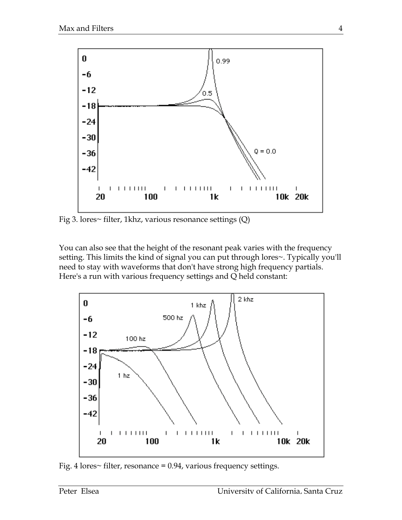

Fig 3. lores~ filter, 1khz, various resonance settings (Q)

You can also see that the height of the resonant peak varies with the frequency setting. This limits the kind of signal you can put through lores~. Typically you'll need to stay with waveforms that don't have strong high frequency partials. Here's a run with various frequency settings and Q held constant:



Fig. 4 lores $\sim$  filter, resonance = 0.94, various frequency settings.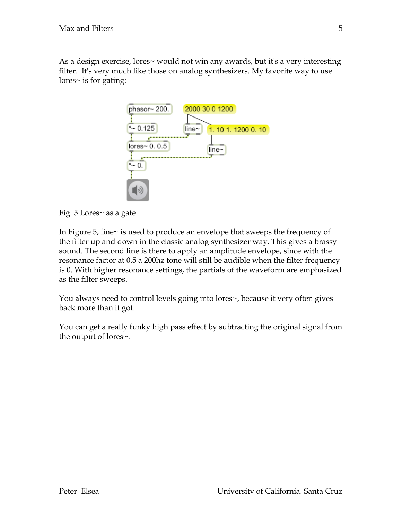As a design exercise, lores~ would not win any awards, but it's a very interesting filter. It's very much like those on analog synthesizers. My favorite way to use lores~ is for gating:



Fig. 5 Lores~ as a gate

In Figure 5, line~ is used to produce an envelope that sweeps the frequency of the filter up and down in the classic analog synthesizer way. This gives a brassy sound. The second line is there to apply an amplitude envelope, since with the resonance factor at 0.5 a 200hz tone will still be audible when the filter frequency is 0. With higher resonance settings, the partials of the waveform are emphasized as the filter sweeps.

You always need to control levels going into lores~, because it very often gives back more than it got.

You can get a really funky high pass effect by subtracting the original signal from the output of lores~.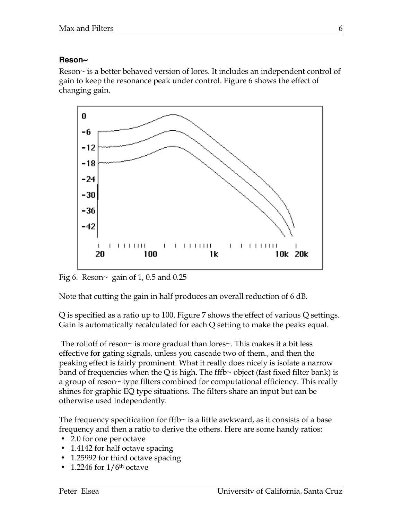#### **Reson~**

Reson~ is a better behaved version of lores. It includes an independent control of gain to keep the resonance peak under control. Figure 6 shows the effect of changing gain.



Fig 6. Reson $\sim$  gain of 1, 0.5 and 0.25

Note that cutting the gain in half produces an overall reduction of 6 dB.

Q is specified as a ratio up to 100. Figure 7 shows the effect of various Q settings. Gain is automatically recalculated for each Q setting to make the peaks equal.

 The rolloff of reson~ is more gradual than lores~. This makes it a bit less effective for gating signals, unless you cascade two of them., and then the peaking effect is fairly prominent. What it really does nicely is isolate a narrow band of frequencies when the Q is high. The fffb $\sim$  object (fast fixed filter bank) is a group of reson~ type filters combined for computational efficiency. This really shines for graphic EQ type situations. The filters share an input but can be otherwise used independently.

The frequency specification for fffb $\sim$  is a little awkward, as it consists of a base frequency and then a ratio to derive the others. Here are some handy ratios:

- 2.0 for one per octave
- 1.4142 for half octave spacing
- 1.25992 for third octave spacing
- 1.2246 for  $1/6<sup>th</sup>$  octave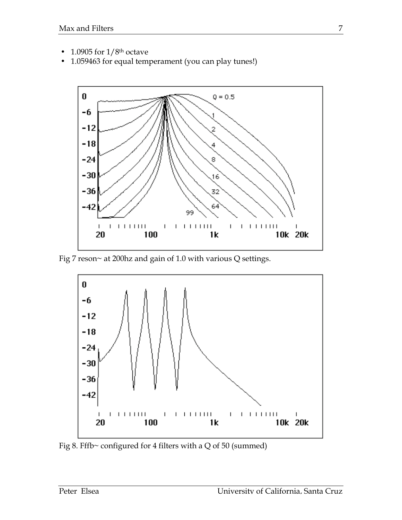- 1.0905 for  $1/8$ <sup>th</sup> octave
- 1.059463 for equal temperament (you can play tunes!)



Fig 7 reson~ at 200hz and gain of 1.0 with various Q settings.



Fig 8. Fffb~ configured for 4 filters with a Q of 50 (summed)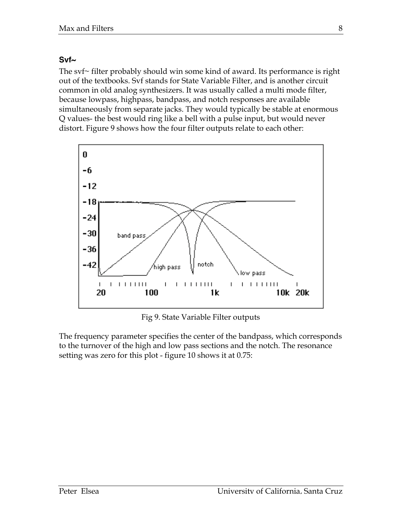#### **Svf~**

The svf~ filter probably should win some kind of award. Its performance is right out of the textbooks. Svf stands for State Variable Filter, and is another circuit common in old analog synthesizers. It was usually called a multi mode filter, because lowpass, highpass, bandpass, and notch responses are available simultaneously from separate jacks. They would typically be stable at enormous Q values- the best would ring like a bell with a pulse input, but would never distort. Figure 9 shows how the four filter outputs relate to each other:



Fig 9. State Variable Filter outputs

The frequency parameter specifies the center of the bandpass, which corresponds to the turnover of the high and low pass sections and the notch. The resonance setting was zero for this plot - figure 10 shows it at 0.75: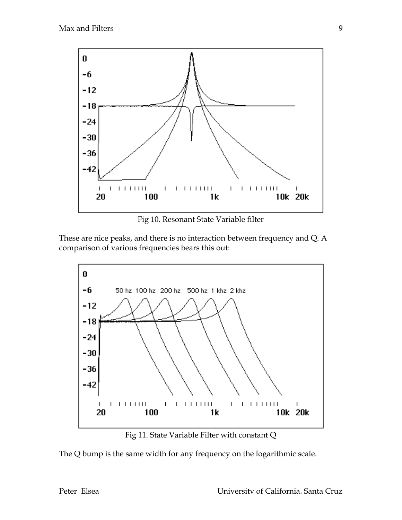

Fig 10. Resonant State Variable filter

These are nice peaks, and there is no interaction between frequency and Q. A comparison of various frequencies bears this out:



Fig 11. State Variable Filter with constant Q

The Q bump is the same width for any frequency on the logarithmic scale.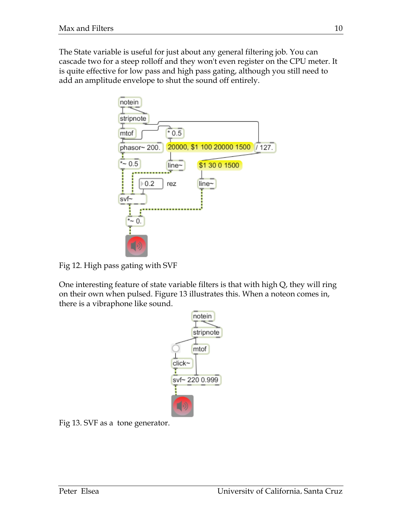The State variable is useful for just about any general filtering job. You can cascade two for a steep rolloff and they won't even register on the CPU meter. It is quite effective for low pass and high pass gating, although you still need to add an amplitude envelope to shut the sound off entirely.



Fig 12. High pass gating with SVF

One interesting feature of state variable filters is that with high Q, they will ring on their own when pulsed. Figure 13 illustrates this. When a noteon comes in, there is a vibraphone like sound.



Fig 13. SVF as a tone generator.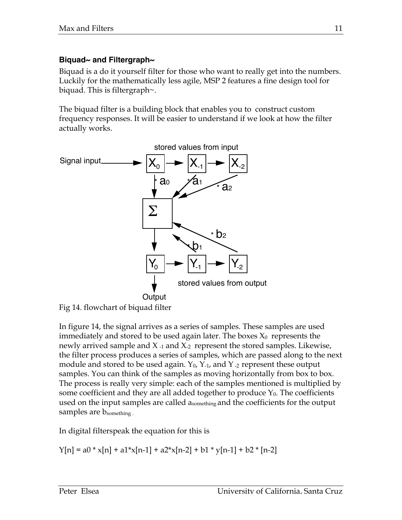# **Biquad~ and Filtergraph~**

Biquad is a do it yourself filter for those who want to really get into the numbers. Luckily for the mathematically less agile, MSP 2 features a fine design tool for biquad. This is filtergraph~.

The biquad filter is a building block that enables you to construct custom frequency responses. It will be easier to understand if we look at how the filter actually works.



Fig 14. flowchart of biquad filter

In figure 14, the signal arrives as a series of samples. These samples are used immediately and stored to be used again later. The boxes  $X_0$  represents the newly arrived sample and X -1 and X-2 represent the stored samples. Likewise, the filter process produces a series of samples, which are passed along to the next module and stored to be used again.  $Y_0$ ,  $Y_1$ , and  $Y_2$  represent these output samples. You can think of the samples as moving horizontally from box to box. The process is really very simple: each of the samples mentioned is multiplied by some coefficient and they are all added together to produce  $Y_0$ . The coefficients used on the input samples are called  $a_{\rm something}$  and the coefficients for the output samples are b<sub>something</sub>.

In digital filterspeak the equation for this is

 $Y[n] = a0 * x[n] + a1 * x[n-1] + a2 * x[n-2] + b1 * y[n-1] + b2 * [n-2]$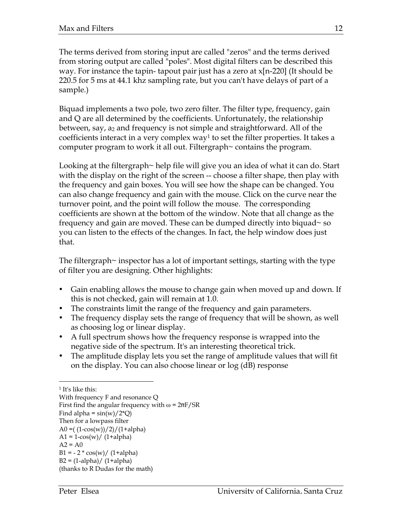The terms derived from storing input are called "zeros" and the terms derived from storing output are called "poles". Most digital filters can be described this way. For instance the tapin- tapout pair just has a zero at  $x[n-220]$  (It should be 220.5 for 5 ms at 44.1 khz sampling rate, but you can't have delays of part of a sample.)

Biquad implements a two pole, two zero filter. The filter type, frequency, gain and Q are all determined by the coefficients. Unfortunately, the relationship between, say, a2 and frequency is not simple and straightforward. All of the coefficients interact in a very complex way<sup>1</sup> to set the filter properties. It takes a computer program to work it all out. Filtergraph~ contains the program.

Looking at the filtergraph~ help file will give you an idea of what it can do. Start with the display on the right of the screen -- choose a filter shape, then play with the frequency and gain boxes. You will see how the shape can be changed. You can also change frequency and gain with the mouse. Click on the curve near the turnover point, and the point will follow the mouse. The corresponding coefficients are shown at the bottom of the window. Note that all change as the frequency and gain are moved. These can be dumped directly into biquad~ so you can listen to the effects of the changes. In fact, the help window does just that.

The filtergraph~ inspector has a lot of important settings, starting with the type of filter you are designing. Other highlights:

- Gain enabling allows the mouse to change gain when moved up and down. If this is not checked, gain will remain at 1.0.
- The constraints limit the range of the frequency and gain parameters.
- The frequency display sets the range of frequency that will be shown, as well as choosing log or linear display.
- A full spectrum shows how the frequency response is wrapped into the negative side of the spectrum. It's an interesting theoretical trick.
- The amplitude display lets you set the range of amplitude values that will fit on the display. You can also choose linear or log (dB) response

 <sup>1</sup> It's like this:

With frequency F and resonance Q First find the angular frequency with  $\omega = 2\pi F/SR$ Find alpha =  $\sin(w)/2^{\ast}Q$ Then for a lowpass filter A0 =  $(1-\cos(w))/2)/(1+\alpha$ lpha)  $A1 = 1 - cos(w) / (1 + alpha)$  $A2 = A0$  $B1 = -2 * cos(w) / (1 + alpha)$  $B2 = (1$ -alpha)/  $(1 + \alpha)$ (thanks to R Dudas for the math)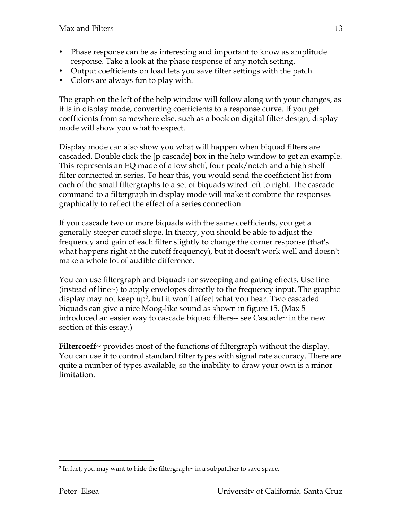- Phase response can be as interesting and important to know as amplitude response. Take a look at the phase response of any notch setting.
- Output coefficients on load lets you save filter settings with the patch.
- Colors are always fun to play with.

The graph on the left of the help window will follow along with your changes, as it is in display mode, converting coefficients to a response curve. If you get coefficients from somewhere else, such as a book on digital filter design, display mode will show you what to expect.

Display mode can also show you what will happen when biquad filters are cascaded. Double click the [p cascade] box in the help window to get an example. This represents an EQ made of a low shelf, four peak/notch and a high shelf filter connected in series. To hear this, you would send the coefficient list from each of the small filtergraphs to a set of biquads wired left to right. The cascade command to a filtergraph in display mode will make it combine the responses graphically to reflect the effect of a series connection.

If you cascade two or more biquads with the same coefficients, you get a generally steeper cutoff slope. In theory, you should be able to adjust the frequency and gain of each filter slightly to change the corner response (that's what happens right at the cutoff frequency), but it doesn't work well and doesn't make a whole lot of audible difference.

You can use filtergraph and biquads for sweeping and gating effects. Use line (instead of line~) to apply envelopes directly to the frequency input. The graphic display may not keep up<sup>2</sup>, but it won't affect what you hear. Two cascaded biquads can give a nice Moog-like sound as shown in figure 15. (Max 5 introduced an easier way to cascade biquad filters-- see Cascade~ in the new section of this essay.)

**Filtercoeff~** provides most of the functions of filtergraph without the display. You can use it to control standard filter types with signal rate accuracy. There are quite a number of types available, so the inability to draw your own is a minor limitation.

 <sup>2</sup> In fact, you may want to hide the filtergraph~ in a subpatcher to save space.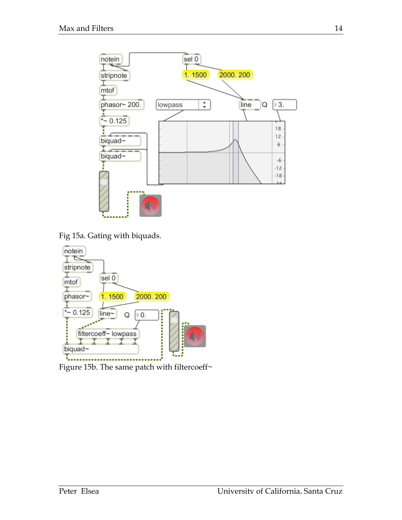

Fig 15a. Gating with biquads.



Figure 15b. The same patch with filtercoeff~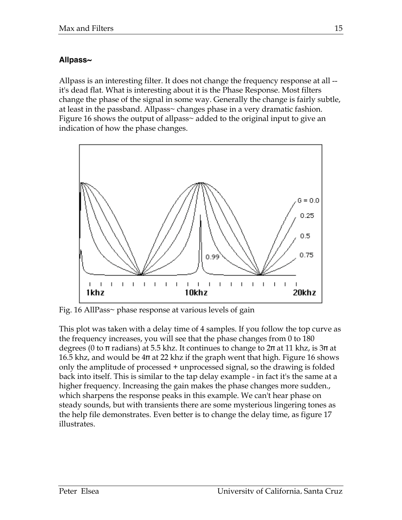# **Allpass~**

Allpass is an interesting filter. It does not change the frequency response at all - it's dead flat. What is interesting about it is the Phase Response. Most filters change the phase of the signal in some way. Generally the change is fairly subtle, at least in the passband. Allpass~ changes phase in a very dramatic fashion. Figure 16 shows the output of allpass~ added to the original input to give an indication of how the phase changes.



Fig. 16 AllPass~ phase response at various levels of gain

This plot was taken with a delay time of 4 samples. If you follow the top curve as the frequency increases, you will see that the phase changes from 0 to 180 degrees (0 to π radians) at 5.5 khz. It continues to change to  $2\pi$  at 11 khz, is  $3\pi$  at 16.5 khz, and would be 4π at 22 khz if the graph went that high. Figure 16 shows only the amplitude of processed + unprocessed signal, so the drawing is folded back into itself. This is similar to the tap delay example - in fact it's the same at a higher frequency. Increasing the gain makes the phase changes more sudden., which sharpens the response peaks in this example. We can't hear phase on steady sounds, but with transients there are some mysterious lingering tones as the help file demonstrates. Even better is to change the delay time, as figure 17 illustrates.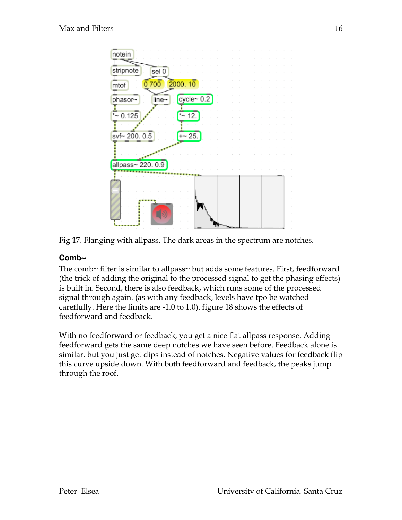

Fig 17. Flanging with allpass. The dark areas in the spectrum are notches.

# **Comb~**

The comb~ filter is similar to allpass~ but adds some features. First, feedforward (the trick of adding the original to the processed signal to get the phasing effects) is built in. Second, there is also feedback, which runs some of the processed signal through again. (as with any feedback, levels have tpo be watched careflully. Here the limits are -1.0 to 1.0). figure 18 shows the effects of feedforward and feedback.

With no feedforward or feedback, you get a nice flat allpass response. Adding feedforward gets the same deep notches we have seen before. Feedback alone is similar, but you just get dips instead of notches. Negative values for feedback flip this curve upside down. With both feedforward and feedback, the peaks jump through the roof.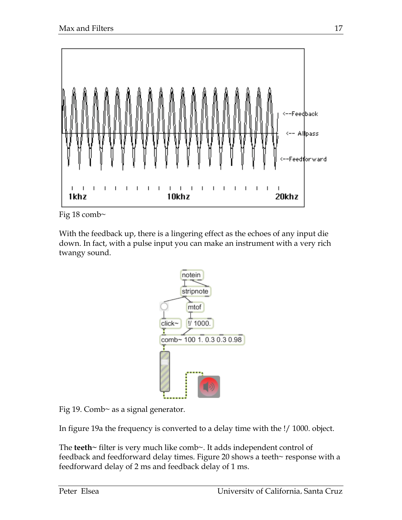

Fig 18 comb~

With the feedback up, there is a lingering effect as the echoes of any input die down. In fact, with a pulse input you can make an instrument with a very rich twangy sound.



Fig 19. Comb~ as a signal generator.

In figure 19a the frequency is converted to a delay time with the !/ 1000. object.

The **teeth~** filter is very much like comb~. It adds independent control of feedback and feedforward delay times. Figure 20 shows a teeth~ response with a feedforward delay of 2 ms and feedback delay of 1 ms.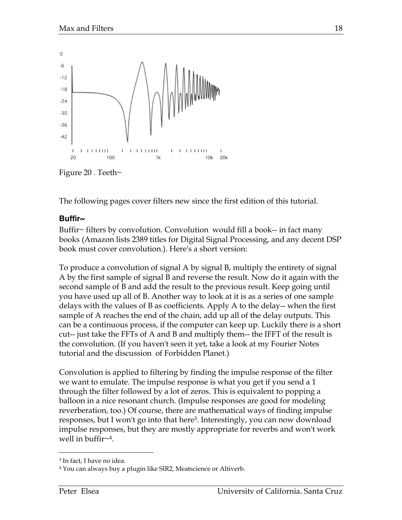

Figure 20 . Teeth $\sim$ 

The following pages cover filters new since the first edition of this tutorial.

#### **Buffir~**

Buffir~ filters by convolution. Convolution would fill a book-- in fact many books (Amazon lists 2389 titles for Digital Signal Processing, and any decent DSP book must cover convolution.). Here's a short version:

To produce a convolution of signal A by signal B, multiply the entirety of signal A by the first sample of signal B and reverse the result. Now do it again with the second sample of B and add the result to the previous result. Keep going until you have used up all of B. Another way to look at it is as a series of one sample delays with the values of B as coefficients. Apply A to the delay-- when the first sample of A reaches the end of the chain, add up all of the delay outputs. This can be a continuous process, if the computer can keep up. Luckily there is a short cut-- just take the FFTs of A and B and multiply them-- the IFFT of the result is the convolution. (If you haven't seen it yet, take a look at my Fourier Notes tutorial and the discussion of Forbidden Planet.)

Convolution is applied to filtering by finding the impulse response of the filter we want to emulate. The impulse response is what you get if you send a 1 through the filter followed by a lot of zeros. This is equivalent to popping a balloon in a nice resonant church. (Impulse responses are good for modeling reverberation, too.) Of course, there are mathematical ways of finding impulse responses, but I won't go into that here3. Interestingly, you can now download impulse responses, but they are mostly appropriate for reverbs and won't work well in buffir $\sim$ <sup>4</sup>.

 <sup>3</sup> In fact, I have no idea.

<sup>4</sup> You can always buy a plugin like SIR2, Meatscience or Altiverb.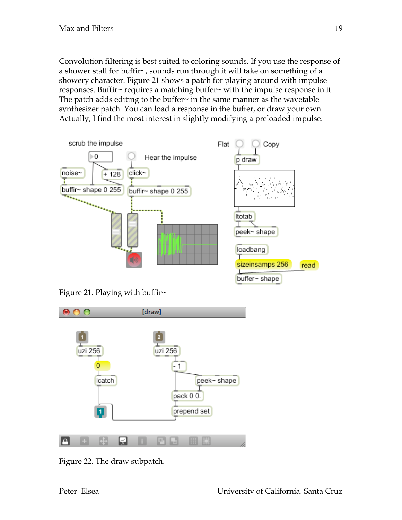Convolution filtering is best suited to coloring sounds. If you use the response of a shower stall for buffir~, sounds run through it will take on something of a showery character. Figure 21 shows a patch for playing around with impulse responses. Buffir~ requires a matching buffer~ with the impulse response in it. The patch adds editing to the buffer~ in the same manner as the wavetable synthesizer patch. You can load a response in the buffer, or draw your own. Actually, I find the most interest in slightly modifying a preloaded impulse.



Figure 21. Playing with buffir $\sim$ 



Figure 22. The draw subpatch.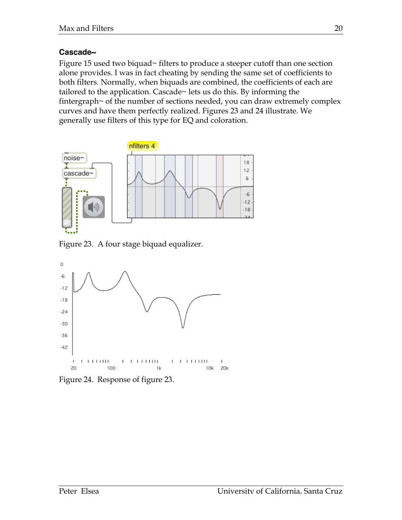#### **Cascade~**

Figure 15 used two biquad~ filters to produce a steeper cutoff than one section alone provides. I was in fact cheating by sending the same set of coefficients to both filters. Normally, when biquads are combined, the coefficients of each are tailored to the application. Cascade~ lets us do this. By informing the fintergraph~ of the number of sections needed, you can draw extremely complex curves and have them perfectly realized. Figures 23 and 24 illustrate. We generally use filters of this type for EQ and coloration.



Figure 23. A four stage biquad equalizer.



Figure 24. Response of figure 23.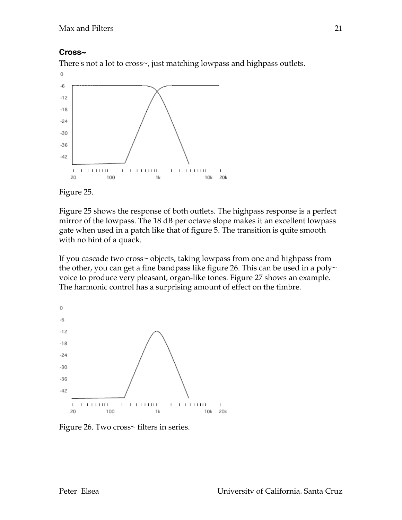#### **Cross~**

There's not a lot to cross~, just matching lowpass and highpass outlets.





Figure 25 shows the response of both outlets. The highpass response is a perfect mirror of the lowpass. The 18 dB per octave slope makes it an excellent lowpass gate when used in a patch like that of figure 5. The transition is quite smooth with no hint of a quack.

If you cascade two cross~ objects, taking lowpass from one and highpass from the other, you can get a fine bandpass like figure 26. This can be used in a poly $\sim$ voice to produce very pleasant, organ-like tones. Figure 27 shows an example. The harmonic control has a surprising amount of effect on the timbre.



Figure 26. Two cross~ filters in series.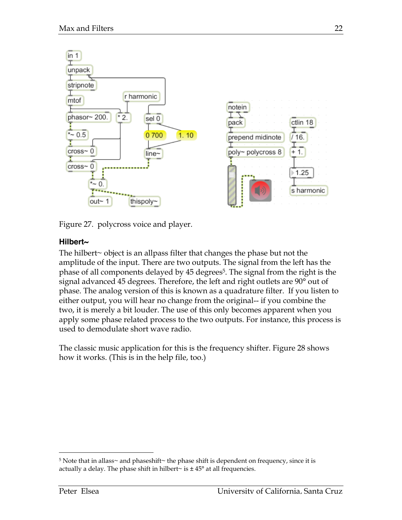

Figure 27. polycross voice and player.

# **Hilbert~**

The hilbert~ object is an allpass filter that changes the phase but not the amplitude of the input. There are two outputs. The signal from the left has the phase of all components delayed by 45 degrees<sup>5</sup>. The signal from the right is the signal advanced 45 degrees. Therefore, the left and right outlets are 90° out of phase. The analog version of this is known as a quadrature filter. If you listen to either output, you will hear no change from the original-- if you combine the two, it is merely a bit louder. The use of this only becomes apparent when you apply some phase related process to the two outputs. For instance, this process is used to demodulate short wave radio.

The classic music application for this is the frequency shifter. Figure 28 shows how it works. (This is in the help file, too.)

 $5$  Note that in allass~ and phaseshift~ the phase shift is dependent on frequency, since it is actually a delay. The phase shift in hilbert $\sim$  is  $\pm$  45 $\degree$  at all frequencies.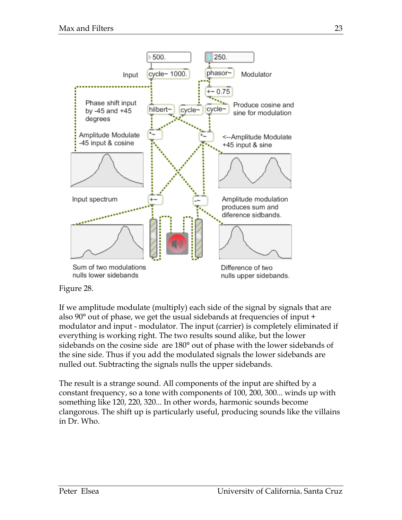

#### Figure 28.

If we amplitude modulate (multiply) each side of the signal by signals that are also 90° out of phase, we get the usual sidebands at frequencies of input + modulator and input - modulator. The input (carrier) is completely eliminated if everything is working right. The two results sound alike, but the lower sidebands on the cosine side are 180° out of phase with the lower sidebands of the sine side. Thus if you add the modulated signals the lower sidebands are nulled out. Subtracting the signals nulls the upper sidebands.

The result is a strange sound. All components of the input are shifted by a constant frequency, so a tone with components of 100, 200, 300... winds up with something like 120, 220, 320... In other words, harmonic sounds become clangorous. The shift up is particularly useful, producing sounds like the villains in Dr. Who.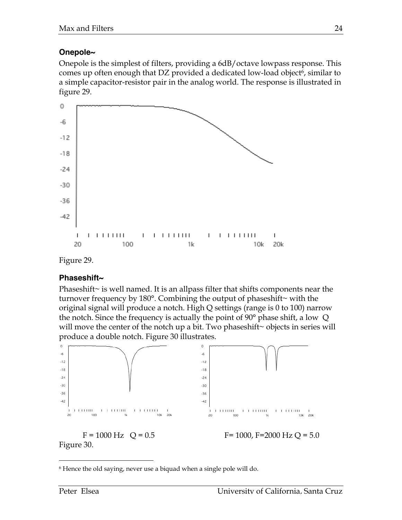# **Onepole~**

Onepole is the simplest of filters, providing a 6dB/octave lowpass response. This comes up often enough that DZ provided a dedicated low-load object<sup>6</sup>, similar to a simple capacitor-resistor pair in the analog world. The response is illustrated in figure 29.



Figure 29.

### **Phaseshift~**

Phaseshift~ is well named. It is an allpass filter that shifts components near the turnover frequency by 180°. Combining the output of phaseshift~ with the original signal will produce a notch. High Q settings (range is 0 to 100) narrow the notch. Since the frequency is actually the point of  $90^{\circ}$  phase shift, a low Q will move the center of the notch up a bit. Two phaseshift~ objects in series will produce a double notch. Figure 30 illustrates.



 <sup>6</sup> Hence the old saying, never use a biquad when a single pole will do.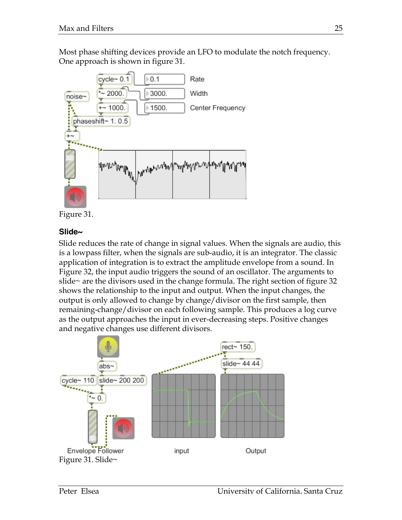Most phase shifting devices provide an LFO to modulate the notch frequency. One approach is shown in figure 31.



Figure 31.

# **Slide~**

Slide reduces the rate of change in signal values. When the signals are audio, this is a lowpass filter, when the signals are sub-audio, it is an integrator. The classic application of integration is to extract the amplitude envelope from a sound. In Figure 32, the input audio triggers the sound of an oscillator. The arguments to slide~ are the divisors used in the change formula. The right section of figure 32 shows the relationship to the input and output. When the input changes, the output is only allowed to change by change/divisor on the first sample, then remaining-change/divisor on each following sample. This produces a log curve as the output approaches the input in ever-decreasing steps. Positive changes and negative changes use different divisors.